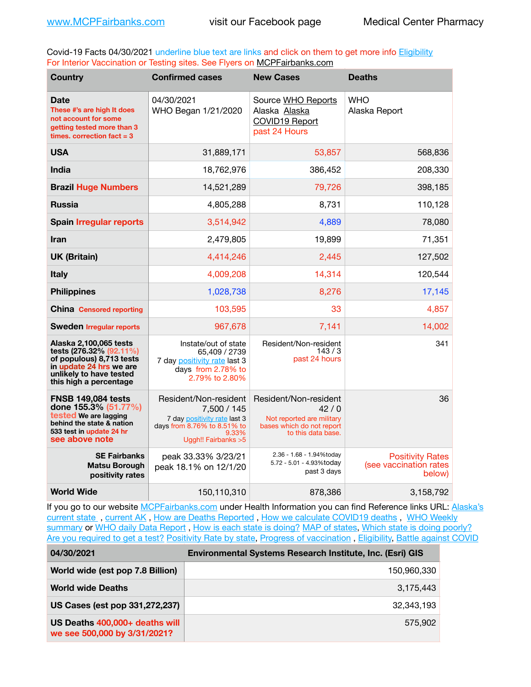Covid-19 Facts 04/30/2021 underline blue text are links and click on them to get more info **Eligibility** For Interior Vaccination or Testing sites. See Flyers on [MCPFairbanks.com](http://www.MCPFairbanks.com)

| <b>Country</b>                                                                                                                                                | <b>Confirmed cases</b>                                                                                                               | <b>New Cases</b>                                                                                              | <b>Deaths</b>                                               |
|---------------------------------------------------------------------------------------------------------------------------------------------------------------|--------------------------------------------------------------------------------------------------------------------------------------|---------------------------------------------------------------------------------------------------------------|-------------------------------------------------------------|
| <b>Date</b><br>These #'s are high It does<br>not account for some<br>getting tested more than 3<br>times, correction fact $= 3$                               | 04/30/2021<br>WHO Began 1/21/2020                                                                                                    | Source WHO Reports<br>Alaska Alaska<br><b>COVID19 Report</b><br>past 24 Hours                                 | <b>WHO</b><br>Alaska Report                                 |
| <b>USA</b>                                                                                                                                                    | 31,889,171                                                                                                                           | 53,857                                                                                                        | 568,836                                                     |
| India                                                                                                                                                         | 18,762,976                                                                                                                           | 386,452                                                                                                       | 208,330                                                     |
| <b>Brazil Huge Numbers</b>                                                                                                                                    | 14,521,289                                                                                                                           | 79,726                                                                                                        | 398,185                                                     |
| <b>Russia</b>                                                                                                                                                 | 4,805,288                                                                                                                            | 8,731                                                                                                         | 110,128                                                     |
| <b>Spain Irregular reports</b>                                                                                                                                | 3,514,942                                                                                                                            | 4,889                                                                                                         | 78,080                                                      |
| <b>Iran</b>                                                                                                                                                   | 2,479,805                                                                                                                            | 19,899                                                                                                        | 71,351                                                      |
| <b>UK (Britain)</b>                                                                                                                                           | 4,414,246                                                                                                                            | 2,445                                                                                                         | 127,502                                                     |
| <b>Italy</b>                                                                                                                                                  | 4,009,208                                                                                                                            | 14,314                                                                                                        | 120,544                                                     |
| <b>Philippines</b>                                                                                                                                            | 1,028,738                                                                                                                            | 8,276                                                                                                         | 17,145                                                      |
| <b>China Censored reporting</b>                                                                                                                               | 103,595                                                                                                                              | 33                                                                                                            | 4,857                                                       |
| <b>Sweden Irregular reports</b>                                                                                                                               | 967,678                                                                                                                              | 7,141                                                                                                         | 14,002                                                      |
| Alaska 2,100,065 tests<br>tests (276.32% (92.11%)<br>of populous) 8,713 tests<br>in update 24 hrs we are<br>unlikely to have tested<br>this high a percentage | Instate/out of state<br>65,409 / 2739<br>7 day positivity rate last 3<br>days from 2.78% to<br>2.79% to 2.80%                        | Resident/Non-resident<br>143/3<br>past 24 hours                                                               | 341                                                         |
| <b>FNSB 149,084 tests</b><br>done 155.3% (51.77%)<br>tested We are lagging<br>behind the state & nation<br>533 test in update 24 hr<br>see above note         | Resident/Non-resident<br>7,500 / 145<br>7 day positivity rate last 3<br>days from 8.76% to 8.51% to<br>9.33%<br>Uggh!! Fairbanks > 5 | Resident/Non-resident<br>42/0<br>Not reported are military<br>bases which do not report<br>to this data base. | 36                                                          |
| <b>SE Fairbanks</b><br>Matsu Borough<br>positivity rates                                                                                                      | peak 33.33% 3/23/21<br>peak 18.1% on 12/1/20                                                                                         | 2.36 - 1.68 - 1.94%today<br>5.72 - 5.01 - 4.93%today<br>past 3 days                                           | <b>Positivity Rates</b><br>(see vaccination rates<br>below) |
| <b>World Wide</b>                                                                                                                                             | 150,110,310                                                                                                                          | 878,386                                                                                                       | 3,158,792                                                   |

If you go to our website [MCPFairbanks.com](http://www.MCPFairbanks.com) under Health Information you can find Reference links URL: Alaska's [current state](https://coronavirus-response-alaska-dhss.hub.arcgis.com) , [current AK](http://dhss.alaska.gov/dph/Epi/id/Pages/COVID-19/communications.aspx#cases) , [How are Deaths Reported](http://dhss.alaska.gov/dph/Epi/id/Pages/COVID-19/deathcounts.aspx) , [How we calculate COVID19 deaths](https://coronavirus-response-alaska-dhss.hub.arcgis.com/search?collection=Document&groupIds=41ccb3344ebc4bd682c74073eba21f42) , [WHO Weekly](http://www.who.int)  [summary](http://www.who.int) or [WHO daily Data Report](https://covid19.who.int/table), [How is each state is doing?](https://www.msn.com/en-us/news/us/state-by-state-coronavirus-news/ar-BB13E1PX?fbclid=IwAR0_OBJH7lSyTN3ug_MsOeFnNgB1orTa9OBgilKJ7dhnwlVvHEsptuKkj1c) [MAP of states,](https://www.nationalgeographic.com/science/graphics/graphic-tracking-coronavirus-infections-us?cmpid=org=ngp::mc=crm-email::src=ngp::cmp=editorial::add=SpecialEdition_20210305&rid=B9A6DF5992658E8E35CE023113CFEA4C) [Which state is doing poorly?](https://bestlifeonline.com/covid-outbreak-your-state/?utm_source=nsltr&utm_medium=email&utm_content=covid-outbreak-your-state&utm_campaign=launch) [Are you required to get a test?](http://dhss.alaska.gov/dph/Epi/id/SiteAssets/Pages/HumanCoV/Whattodoafteryourtest.pdf) [Positivity Rate by state](https://coronavirus.jhu.edu/testing/individual-states/alaska), Progress of vaccination, [Eligibility,](http://dhss.alaska.gov/dph/Epi/id/Pages/COVID-19/VaccineAvailability.aspx) [Battle against COVID](https://www.nationalgeographic.com/science/graphics/graphic-tracking-coronavirus-infections-us?cmpid=org=ngp::mc=crm-email::src=ngp::cmp=editorial::add=SpecialEdition_20210219&rid=B9A6DF5992658E8E35CE023113CFEA4C)

| 04/30/2021                                                     | <b>Environmental Systems Research Institute, Inc. (Esri) GIS</b> |
|----------------------------------------------------------------|------------------------------------------------------------------|
| World wide (est pop 7.8 Billion)                               | 150,960,330                                                      |
| <b>World wide Deaths</b>                                       | 3,175,443                                                        |
| US Cases (est pop 331,272,237)                                 | 32.343.193                                                       |
| US Deaths 400,000+ deaths will<br>we see 500,000 by 3/31/2021? | 575.902                                                          |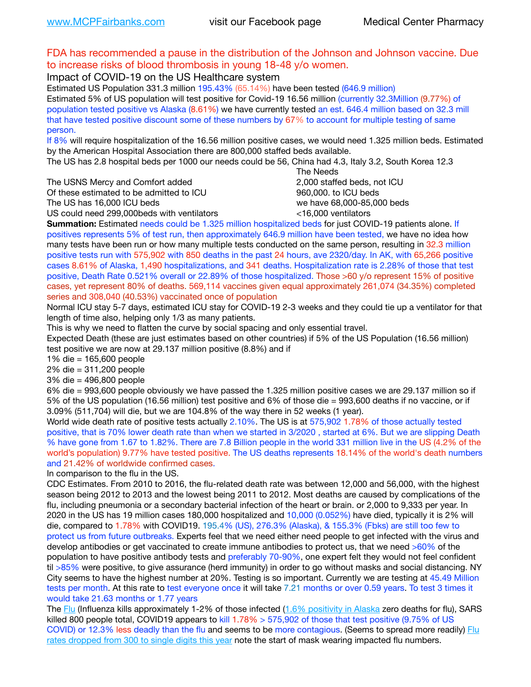## FDA has recommended a pause in the distribution of the Johnson and Johnson vaccine. Due to increase risks of blood thrombosis in young 18-48 y/o women.

Impact of COVID-19 on the US Healthcare system

Estimated US Population 331.3 million 195.43% (65.14%) have been tested (646.9 million) Estimated 5% of US population will test positive for Covid-19 16.56 million (currently 32.3Million (9.77%) of population tested positive vs Alaska (8.61%) we have currently tested an est. 646.4 million based on 32.3 mill that have tested positive discount some of these numbers by 67% to account for multiple testing of same person.

If 8% will require hospitalization of the 16.56 million positive cases, we would need 1.325 million beds. Estimated by the American Hospital Association there are 800,000 staffed beds available.

The US has 2.8 hospital beds per 1000 our needs could be 56, China had 4.3, Italy 3.2, South Korea 12.3

The USNS Mercy and Comfort added 2,000 staffed beds, not ICU

Of these estimated to be admitted to ICU **860,000**, to ICU beds

 The Needs The US has 16,000 ICU beds we have 68,000-85,000 beds

US could need 299,000 beds with ventilators  $\leq$ 16,000 ventilators

**Summation:** Estimated needs could be 1.325 million hospitalized beds for just COVID-19 patients alone. If positives represents 5% of test run, then approximately 646.9 million have been tested, we have no idea how many tests have been run or how many multiple tests conducted on the same person, resulting in 32.3 million positive tests run with 575,902 with 850 deaths in the past 24 hours, ave 2320/day. In AK, with 65,266 positive cases 8.61% of Alaska, 1,490 hospitalizations, and 341 deaths. Hospitalization rate is 2.28% of those that test positive, Death Rate 0.521% overall or 22.89% of those hospitalized. Those >60 y/o represent 15% of positive cases, yet represent 80% of deaths. 569,114 vaccines given equal approximately 261,074 (34.35%) completed series and 308,040 (40.53%) vaccinated once of population

Normal ICU stay 5-7 days, estimated ICU stay for COVID-19 2-3 weeks and they could tie up a ventilator for that length of time also, helping only 1/3 as many patients.

This is why we need to flatten the curve by social spacing and only essential travel.

Expected Death (these are just estimates based on other countries) if 5% of the US Population (16.56 million) test positive we are now at 29.137 million positive (8.8%) and if

1% die = 165,600 people

2% die = 311,200 people

3% die = 496,800 people

6% die = 993,600 people obviously we have passed the 1.325 million positive cases we are 29.137 million so if 5% of the US population (16.56 million) test positive and 6% of those die = 993,600 deaths if no vaccine, or if 3.09% (511,704) will die, but we are 104.8% of the way there in 52 weeks (1 year).

World wide death rate of positive tests actually 2.10%. The US is at 575,902 1.78% of those actually tested positive, that is 70% lower death rate than when we started in 3/2020 , started at 6%. But we are slipping Death % have gone from 1.67 to 1.82%. There are 7.8 Billion people in the world 331 million live in the US (4.2% of the world's population) 9.77% have tested positive. The US deaths represents 18.14% of the world's death numbers and 21.42% of worldwide confirmed cases.

In comparison to the flu in the US.

CDC Estimates. From 2010 to 2016, the flu-related death rate was between 12,000 and 56,000, with the highest season being 2012 to 2013 and the lowest being 2011 to 2012. Most deaths are caused by complications of the flu, including pneumonia or a secondary bacterial infection of the heart or brain. or 2,000 to 9,333 per year. In 2020 in the US has 19 million cases 180,000 hospitalized and 10,000 (0.052%) have died, typically it is 2% will die, compared to 1.78% with COVID19. 195.4% (US), 276.3% (Alaska), & 155.3% (Fbks) are still too few to protect us from future outbreaks. Experts feel that we need either need people to get infected with the virus and develop antibodies or get vaccinated to create immune antibodies to protect us, that we need >60% of the population to have positive antibody tests and preferably 70-90%, one expert felt they would not feel confident til >85% were positive, to give assurance (herd immunity) in order to go without masks and social distancing. NY City seems to have the highest number at 20%. Testing is so important. Currently we are testing at 45.49 Million tests per month. At this rate to test everyone once it will take 7.21 months or over 0.59 years. To test 3 times it would take 21.63 months or 1.77 years

The [Flu](https://lnks.gd/l/eyJhbGciOiJIUzI1NiJ9.eyJidWxsZXRpbl9saW5rX2lkIjoxMDMsInVyaSI6ImJwMjpjbGljayIsImJ1bGxldGluX2lkIjoiMjAyMTAyMjYuMzYwNDA3NTEiLCJ1cmwiOiJodHRwczovL3d3dy5jZGMuZ292L2ZsdS93ZWVrbHkvb3ZlcnZpZXcuaHRtIn0.ePMA_hsZ-pTnhWSyg1gHvHWYTu2XceVOt0JejxvP1WE/s/500544915/br/98428119752-l) (Influenza kills approximately 1-2% of those infected ([1.6% positivity in Alaska](http://dhss.alaska.gov/dph/Epi/id/SiteAssets/Pages/influenza/trends/Snapshot.pdf) zero deaths for flu), SARS killed 800 people total, COVID19 appears to kill 1.78% > 575,902 of those that test positive (9.75% of US COVID) or 12.3% less deadly than the flu and seems to be more contagious. (Seems to spread more readily) Flu [rates dropped from 300 to single digits this year](https://lnks.gd/l/eyJhbGciOiJIUzI1NiJ9.eyJidWxsZXRpbl9saW5rX2lkIjoxMDEsInVyaSI6ImJwMjpjbGljayIsImJ1bGxldGluX2lkIjoiMjAyMTAyMjYuMzYwNDA3NTEiLCJ1cmwiOiJodHRwOi8vZGhzcy5hbGFza2EuZ292L2RwaC9FcGkvaWQvUGFnZXMvaW5mbHVlbnphL2ZsdWluZm8uYXNweCJ9.oOe3nt2fww6XpsNhb4FZfmtPfPa-irGaldpkURBJhSo/s/500544915/br/98428119752-l) note the start of mask wearing impacted flu numbers.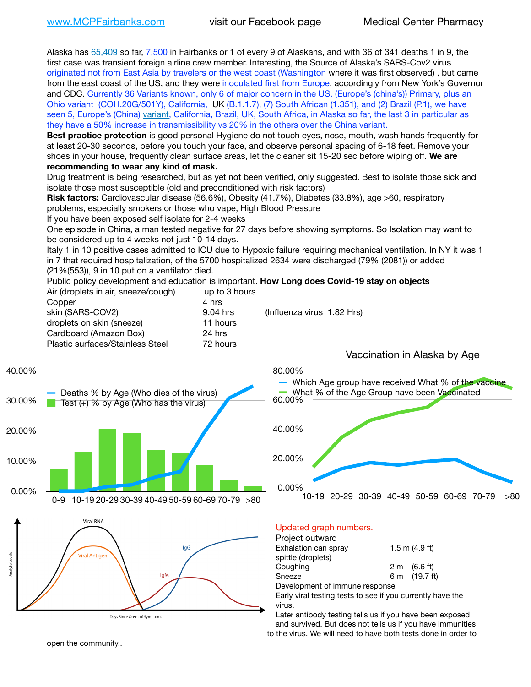Alaska has 65,409 so far, 7,500 in Fairbanks or 1 of every 9 of Alaskans, and with 36 of 341 deaths 1 in 9, the first case was transient foreign airline crew member. Interesting, the Source of Alaska's SARS-Cov2 virus originated not from East Asia by travelers or the west coast (Washington where it was first observed) , but came from the east coast of the US, and they were inoculated first from Europe, accordingly from New York's Governor and CDC. Currently 36 Variants known, only 6 of major concern in the US. (Europe's (china's)) Primary, plus an Ohio variant (COH.20G/501Y), California, [UK](https://www.cdc.gov/coronavirus/2019-ncov/transmission/variant-cases.html) (B.1.1.7), (7) South African (1.351), and (2) Brazil (P.1), we have seen 5, Europe's (China) [variant,](https://www.webmd.com/lung/news/20210318/cdc-who-create-threat-levels-for-covid-variants?ecd=wnl_cvd_031921&ctr=wnl-cvd-031921&mb=kYbf7DsHb7YGjh/1RUkcAW0T6iorImAU1TDZh18RYs0=_Support_titleLink_2) California, Brazil, UK, South Africa, in Alaska so far, the last 3 in particular as they have a 50% increase in transmissibility vs 20% in the others over the China variant.

**Best practice protection** is good personal Hygiene do not touch eyes, nose, mouth, wash hands frequently for at least 20-30 seconds, before you touch your face, and observe personal spacing of 6-18 feet. Remove your shoes in your house, frequently clean surface areas, let the cleaner sit 15-20 sec before wiping off. **We are recommending to wear any kind of mask.**

Drug treatment is being researched, but as yet not been verified, only suggested. Best to isolate those sick and isolate those most susceptible (old and preconditioned with risk factors)

**Risk factors:** Cardiovascular disease (56.6%), Obesity (41.7%), Diabetes (33.8%), age >60, respiratory problems, especially smokers or those who vape, High Blood Pressure

If you have been exposed self isolate for 2-4 weeks

One episode in China, a man tested negative for 27 days before showing symptoms. So Isolation may want to be considered up to 4 weeks not just 10-14 days.

Italy 1 in 10 positive cases admitted to ICU due to Hypoxic failure requiring mechanical ventilation. In NY it was 1 in 7 that required hospitalization, of the 5700 hospitalized 2634 were discharged (79% (2081)) or added (21%(553)), 9 in 10 put on a ventilator died.

Public policy development and education is important. **How Long does Covid-19 stay on objects**  $\Delta$ ir (dropleto in air, sneeze/cough) up to 3 hours

| All (dioplets in all, sheeze/cough) | ap to 3 Hours |                            |
|-------------------------------------|---------------|----------------------------|
| Copper                              | 4 hrs         |                            |
| skin (SARS-COV2)                    | 9.04 hrs      | (Influenza virus 1.82 Hrs) |
| droplets on skin (sneeze)           | 11 hours      |                            |
| Cardboard (Amazon Box)              | 24 hrs        |                            |
| Plastic surfaces/Stainless Steel    | 72 hours      |                            |
|                                     |               |                            |







Vaccination in Alaska by Age

### Updated graph numbers.

Project outward

| $1.5$ m $(4.9$ ft)             |
|--------------------------------|
|                                |
| $2 \text{ m}$ (6.6 ft)         |
| 6 m (19.7 ft)                  |
|                                |
| Development of immune response |

Early viral testing tests to see if you currently have the virus.

Later antibody testing tells us if you have been exposed and survived. But does not tells us if you have immunities to the virus. We will need to have both tests done in order to

open the community..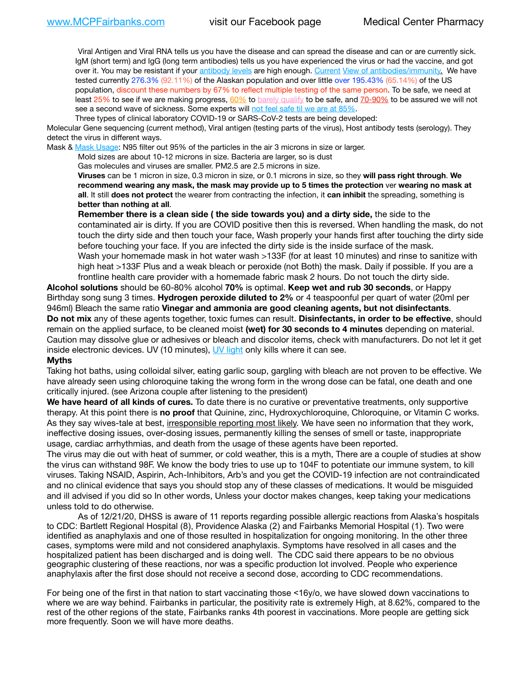Viral Antigen and Viral RNA tells us you have the disease and can spread the disease and can or are currently sick. IgM (short term) and IgG (long term antibodies) tells us you have experienced the virus or had the vaccine, and got over it. You may be resistant if your [antibody levels](https://www.cdc.gov/coronavirus/2019-ncov/lab/resources/antibody-tests.html) are high enough. [Current](https://l.facebook.com/l.php?u=https://www.itv.com/news/2020-10-26/covid-19-antibody-levels-reduce-over-time-study-finds?fbclid=IwAR3Dapzh1qIH1EIOdUQI2y8THf7jfA4KBCaJz8Qg-8xe1YsrR4nsAHDIXSY&h=AT30nut8pkqp0heVuz5W2rT2WFFm-2Ab52BsJxZZCNlGsX58IpPkuVEPULbIUV_M16MAukx1Kwb657DPXxsgDN1rpOQ4gqBtQsmVYiWpnHPJo2RQsU6CPMd14lgLnQnFWxfVi6zvmw&__tn__=-UK-R&c%5B0%5D=AT1GaRAfR_nGAyqcn7TI1-PpvqOqEKXHnz6TDWvRStMnOSH7boQDvTiwTOc6VId9UES6LKiOmm2m88wKCoolkJyOFvakt2Z1Mw8toYWGGoWW23r0MNVBl7cYJXB_UOvGklNHaNnaNr1_S7NhT3BSykNOBg) [View of antibodies/immunity](https://www.livescience.com/antibodies.html)[.](https://www.itv.com/news/2020-10-26/covid-19-antibody-levels-reduce-over-time-study-finds) We have tested currently 276.3% (92.11%) of the Alaskan population and over little over 195.43% (65.14%) of the US population, discount these numbers by 67% to reflect multiple testing of the same person. To be safe, we need at least 25% to see if we are making progress, [60%](https://www.jhsph.edu/covid-19/articles/achieving-herd-immunity-with-covid19.html) to [barely qualify](https://www.nature.com/articles/d41586-020-02948-4) to be safe, and [70-90%](https://www.mayoclinic.org/herd-immunity-and-coronavirus/art-20486808) to be assured we will not see a second wave of sickness. Some experts will [not feel safe til we are at 85%.](https://www.bannerhealth.com/healthcareblog/teach-me/what-is-herd-immunity)

Three types of clinical laboratory COVID-19 or SARS-CoV-2 tests are being developed:

Molecular Gene sequencing (current method), Viral antigen (testing parts of the virus), Host antibody tests (serology). They detect the virus in different ways.

Mask & [Mask Usage:](https://www.nationalgeographic.com/history/2020/03/how-cities-flattened-curve-1918-spanish-flu-pandemic-coronavirus/) N95 filter out 95% of the particles in the air 3 microns in size or larger.

Mold sizes are about 10-12 microns in size. Bacteria are larger, so is dust

Gas molecules and viruses are smaller. PM2.5 are 2.5 microns in size.

**Viruses** can be 1 micron in size, 0.3 micron in size, or 0.1 microns in size, so they **will pass right through**. **We recommend wearing any mask, the mask may provide up to 5 times the protection** ver **wearing no mask at all**. It still **does not protect** the wearer from contracting the infection, it **can inhibit** the spreading, something is **better than nothing at all**.

**Remember there is a clean side ( the side towards you) and a dirty side,** the side to the contaminated air is dirty. If you are COVID positive then this is reversed. When handling the mask, do not touch the dirty side and then touch your face, Wash properly your hands first after touching the dirty side before touching your face. If you are infected the dirty side is the inside surface of the mask. Wash your homemade mask in hot water wash >133F (for at least 10 minutes) and rinse to sanitize with high heat >133F Plus and a weak bleach or peroxide (not Both) the mask. Daily if possible. If you are a frontline health care provider with a homemade fabric mask 2 hours. Do not touch the dirty side.

**Alcohol solutions** should be 60-80% alcohol **70%** is optimal. **Keep wet and rub 30 seconds**, or Happy Birthday song sung 3 times. **Hydrogen peroxide diluted to 2%** or 4 teaspoonful per quart of water (20ml per 946ml) Bleach the same ratio **Vinegar and ammonia are good cleaning agents, but not disinfectants**. **Do not mix** any of these agents together, toxic fumes can result. **Disinfectants, in order to be effective**, should remain on the applied surface, to be cleaned moist **(wet) for 30 seconds to 4 minutes** depending on material. Caution may dissolve glue or adhesives or bleach and discolor items, check with manufacturers. Do not let it get inside electronic devices. UV (10 minutes), [UV light](http://www.docreviews.me/best-uv-boxes-2020/?fbclid=IwAR3bvFtXB48OoBBSvYvTEnKuHNPbipxM6jUo82QUSw9wckxjC7wwRZWabGw) only kills where it can see.

#### **Myths**

Taking hot baths, using colloidal silver, eating garlic soup, gargling with bleach are not proven to be effective. We have already seen using chloroquine taking the wrong form in the wrong dose can be fatal, one death and one critically injured. (see Arizona couple after listening to the president)

**We have heard of all kinds of cures.** To date there is no curative or preventative treatments, only supportive therapy. At this point there is **no proof** that Quinine, zinc, Hydroxychloroquine, Chloroquine, or Vitamin C works. As they say wives-tale at best, irresponsible reporting most likely. We have seen no information that they work, ineffective dosing issues, over-dosing issues, permanently killing the senses of smell or taste, inappropriate usage, cardiac arrhythmias, and death from the usage of these agents have been reported.

The virus may die out with heat of summer, or cold weather, this is a myth, There are a couple of studies at show the virus can withstand 98F. We know the body tries to use up to 104F to potentiate our immune system, to kill viruses. Taking NSAID, Aspirin, Ach-Inhibitors, Arb's and you get the COVID-19 infection are not contraindicated and no clinical evidence that says you should stop any of these classes of medications. It would be misguided and ill advised if you did so In other words, Unless your doctor makes changes, keep taking your medications unless told to do otherwise.

As of 12/21/20, DHSS is aware of 11 reports regarding possible allergic reactions from Alaska's hospitals to CDC: Bartlett Regional Hospital (8), Providence Alaska (2) and Fairbanks Memorial Hospital (1). Two were identified as anaphylaxis and one of those resulted in hospitalization for ongoing monitoring. In the other three cases, symptoms were mild and not considered anaphylaxis. Symptoms have resolved in all cases and the hospitalized patient has been discharged and is doing well. The CDC said there appears to be no obvious geographic clustering of these reactions, nor was a specific production lot involved. People who experience anaphylaxis after the first dose should not receive a second dose, according to CDC recommendations.

For being one of the first in that nation to start vaccinating those <16y/o, we have slowed down vaccinations to where we are way behind. Fairbanks in particular, the positivity rate is extremely High, at 8.62%, compared to the rest of the other regions of the state, Fairbanks ranks 4th poorest in vaccinations. More people are getting sick more frequently. Soon we will have more deaths.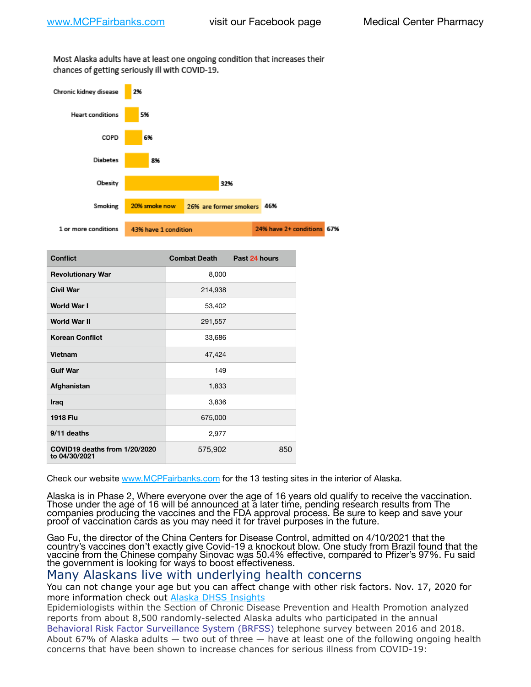Most Alaska adults have at least one ongoing condition that increases their chances of getting seriously ill with COVID-19.



| <b>Conflict</b>                                | <b>Combat Death</b> | Past 24 hours |
|------------------------------------------------|---------------------|---------------|
| <b>Revolutionary War</b>                       | 8,000               |               |
| <b>Civil War</b>                               | 214,938             |               |
| World War I                                    | 53,402              |               |
| <b>World War II</b>                            | 291,557             |               |
| <b>Korean Conflict</b>                         | 33,686              |               |
| Vietnam                                        | 47,424              |               |
| <b>Gulf War</b>                                | 149                 |               |
| Afghanistan                                    | 1,833               |               |
| Iraq                                           | 3,836               |               |
| <b>1918 Flu</b>                                | 675,000             |               |
| 9/11 deaths                                    | 2,977               |               |
| COVID19 deaths from 1/20/2020<br>to 04/30/2021 | 575,902             | 850           |

Check our website [www.MCPFairbanks.com](http://www.MCPFairbanks.com) for the 13 testing sites in the interior of Alaska.

Alaska is in Phase 2, Where everyone over the age of 16 years old qualify to receive the vaccination. Those under the age of 16 will be announced at a later time, pending research results from The companies producing the vaccines and the FDA approval process. Be sure to keep and save your proof of vaccination cards as you may need it for travel purposes in the future.

Gao Fu, the director of the China Centers for Disease Control, admitted on 4/10/2021 that the country's vaccines don't exactly give Covid-19 a knockout blow. One study from Brazil found that the vaccine from the Chinese company Sinovac was 50.4% effective, compared to Pfizer's 97%. Fu said the government is looking for ways to boost effectiveness.

## Many Alaskans live with underlying health concerns

You can not change your age but you can affect change with other risk factors. Nov. 17, 2020 for more information check out [Alaska DHSS Insights](http://dhss.alaska.gov/dph/Epi/id/Pages/COVID-19/blog/20201117.aspx)

Epidemiologists within the Section of Chronic Disease Prevention and Health Promotion analyzed reports from about 8,500 randomly-selected Alaska adults who participated in the annual [Behavioral Risk Factor Surveillance System \(BRFSS\)](http://dhss.alaska.gov/dph/Chronic/Pages/brfss/default.aspx) telephone survey between 2016 and 2018. About 67% of Alaska adults — two out of three — have at least one of the following ongoing health concerns that have been shown to increase chances for serious illness from COVID-19: